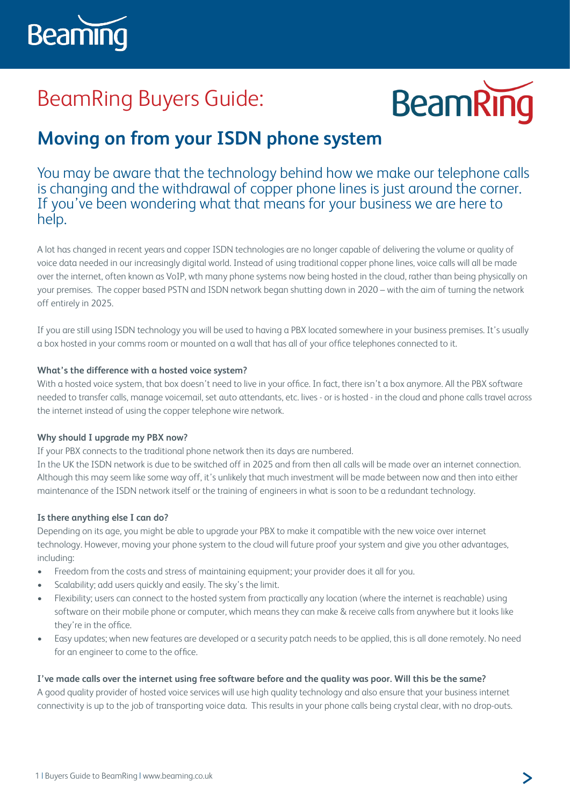

# BeamRing Buyers Guide:



# **Moving on from your ISDN phone system**

You may be aware that the technology behind how we make our telephone calls is changing and the withdrawal of copper phone lines is just around the corner. If you've been wondering what that means for your business we are here to help.

A lot has changed in recent years and copper ISDN technologies are no longer capable of delivering the volume or quality of voice data needed in our increasingly digital world. Instead of using traditional copper phone lines, voice calls will all be made over the internet, often known as VoIP, wth many phone systems now being hosted in the cloud, rather than being physically on your premises. The copper based PSTN and ISDN network began shutting down in 2020 – with the aim of turning the network off entirely in 2025.

If you are still using ISDN technology you will be used to having a PBX located somewhere in your business premises. It's usually a box hosted in your comms room or mounted on a wall that has all of your office telephones connected to it.

### **What's the difference with a hosted voice system?**

With a hosted voice system, that box doesn't need to live in your office. In fact, there isn't a box anymore. All the PBX software needed to transfer calls, manage voicemail, set auto attendants, etc. lives - or is hosted - in the cloud and phone calls travel across the internet instead of using the copper telephone wire network.

#### **Why should I upgrade my PBX now?**

If your PBX connects to the traditional phone network then its days are numbered.

In the UK the ISDN network is due to be switched off in 2025 and from then all calls will be made over an internet connection. Although this may seem like some way off, it's unlikely that much investment will be made between now and then into either maintenance of the ISDN network itself or the training of engineers in what is soon to be a redundant technology.

# **Is there anything else I can do?**

Depending on its age, you might be able to upgrade your PBX to make it compatible with the new voice over internet technology. However, moving your phone system to the cloud will future proof your system and give you other advantages, including:

- Freedom from the costs and stress of maintaining equipment; your provider does it all for you.
- Scalability; add users quickly and easily. The sky's the limit.
- Flexibility; users can connect to the hosted system from practically any location (where the internet is reachable) using software on their mobile phone or computer, which means they can make & receive calls from anywhere but it looks like they're in the office.
- Easy updates; when new features are developed or a security patch needs to be applied, this is all done remotely. No need for an engineer to come to the office.

# **I've made calls over the internet using free software before and the quality was poor. Will this be the same?**

A good quality provider of hosted voice services will use high quality technology and also ensure that your business internet connectivity is up to the job of transporting voice data. This results in your phone calls being crystal clear, with no drop-outs.